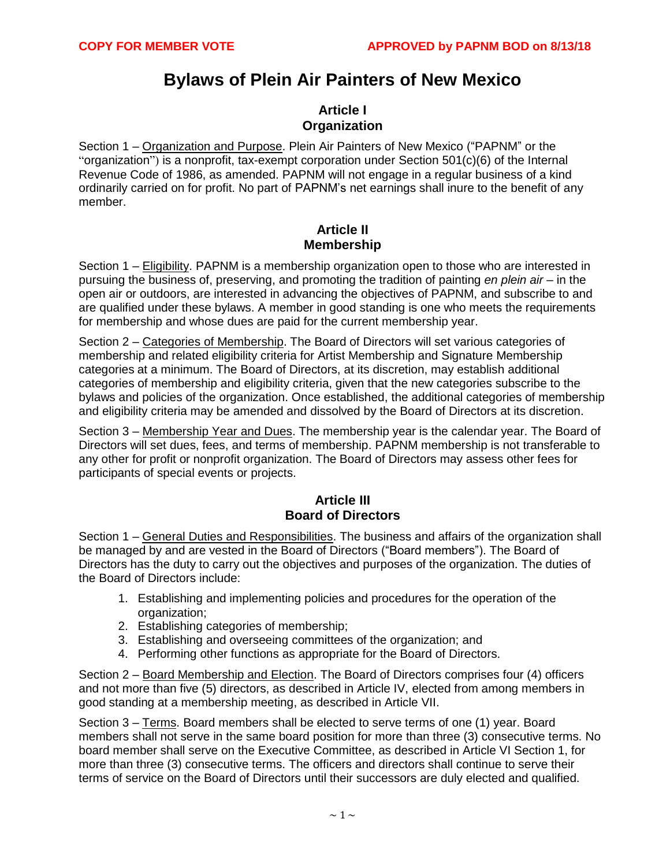# **Bylaws of Plein Air Painters of New Mexico**

#### **Article I Organization**

Section 1 – Organization and Purpose. Plein Air Painters of New Mexico ("PAPNM" or the "organization") is a nonprofit, tax-exempt corporation under Section 501(c)(6) of the Internal Revenue Code of 1986, as amended. PAPNM will not engage in a regular business of a kind ordinarily carried on for profit. No part of PAPNM's net earnings shall inure to the benefit of any member.

#### **Article II Membership**

Section 1 – Eligibility. PAPNM is a membership organization open to those who are interested in pursuing the business of, preserving, and promoting the tradition of painting *en plein air* – in the open air or outdoors, are interested in advancing the objectives of PAPNM, and subscribe to and are qualified under these bylaws. A member in good standing is one who meets the requirements for membership and whose dues are paid for the current membership year.

Section 2 – Categories of Membership. The Board of Directors will set various categories of membership and related eligibility criteria for Artist Membership and Signature Membership categories at a minimum. The Board of Directors, at its discretion, may establish additional categories of membership and eligibility criteria, given that the new categories subscribe to the bylaws and policies of the organization. Once established, the additional categories of membership and eligibility criteria may be amended and dissolved by the Board of Directors at its discretion.

Section 3 – Membership Year and Dues. The membership year is the calendar year. The Board of Directors will set dues, fees, and terms of membership. PAPNM membership is not transferable to any other for profit or nonprofit organization. The Board of Directors may assess other fees for participants of special events or projects.

### **Article III Board of Directors**

Section 1 – General Duties and Responsibilities. The business and affairs of the organization shall be managed by and are vested in the Board of Directors ("Board members"). The Board of Directors has the duty to carry out the objectives and purposes of the organization. The duties of the Board of Directors include:

- 1. Establishing and implementing policies and procedures for the operation of the organization;
- 2. Establishing categories of membership;
- 3. Establishing and overseeing committees of the organization; and
- 4. Performing other functions as appropriate for the Board of Directors.

Section 2 – Board Membership and Election. The Board of Directors comprises four (4) officers and not more than five (5) directors, as described in Article IV, elected from among members in good standing at a membership meeting, as described in Article VII.

Section 3 – Terms. Board members shall be elected to serve terms of one (1) year. Board members shall not serve in the same board position for more than three (3) consecutive terms. No board member shall serve on the Executive Committee, as described in Article VI Section 1, for more than three (3) consecutive terms. The officers and directors shall continue to serve their terms of service on the Board of Directors until their successors are duly elected and qualified.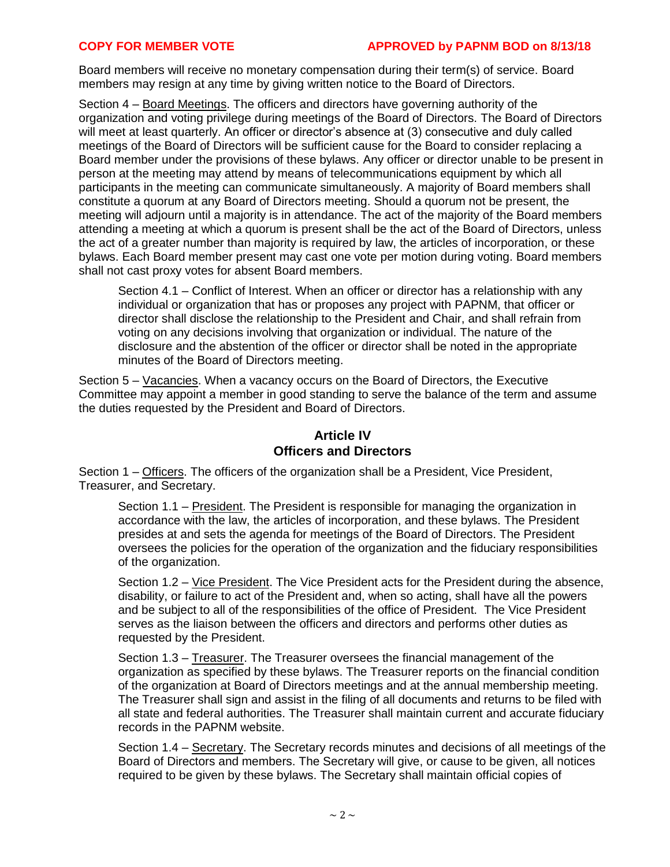#### **COPY FOR MEMBER VOTE APPROVED by PAPNM BOD on 8/13/18**

Board members will receive no monetary compensation during their term(s) of service. Board members may resign at any time by giving written notice to the Board of Directors.

Section 4 – Board Meetings. The officers and directors have governing authority of the organization and voting privilege during meetings of the Board of Directors. The Board of Directors will meet at least quarterly. An officer or director's absence at (3) consecutive and duly called meetings of the Board of Directors will be sufficient cause for the Board to consider replacing a Board member under the provisions of these bylaws. Any officer or director unable to be present in person at the meeting may attend by means of telecommunications equipment by which all participants in the meeting can communicate simultaneously. A majority of Board members shall constitute a quorum at any Board of Directors meeting. Should a quorum not be present, the meeting will adjourn until a majority is in attendance. The act of the majority of the Board members attending a meeting at which a quorum is present shall be the act of the Board of Directors, unless the act of a greater number than majority is required by law, the articles of incorporation, or these bylaws. Each Board member present may cast one vote per motion during voting. Board members shall not cast proxy votes for absent Board members.

Section 4.1 – Conflict of Interest. When an officer or director has a relationship with any individual or organization that has or proposes any project with PAPNM, that officer or director shall disclose the relationship to the President and Chair, and shall refrain from voting on any decisions involving that organization or individual. The nature of the disclosure and the abstention of the officer or director shall be noted in the appropriate minutes of the Board of Directors meeting.

Section 5 – Vacancies. When a vacancy occurs on the Board of Directors, the Executive Committee may appoint a member in good standing to serve the balance of the term and assume the duties requested by the President and Board of Directors.

### **Article IV Officers and Directors**

Section 1 – Officers. The officers of the organization shall be a President, Vice President, Treasurer, and Secretary.

Section 1.1 – President. The President is responsible for managing the organization in accordance with the law, the articles of incorporation, and these bylaws. The President presides at and sets the agenda for meetings of the Board of Directors. The President oversees the policies for the operation of the organization and the fiduciary responsibilities of the organization.

Section 1.2 – Vice President. The Vice President acts for the President during the absence, disability, or failure to act of the President and, when so acting, shall have all the powers and be subject to all of the responsibilities of the office of President. The Vice President serves as the liaison between the officers and directors and performs other duties as requested by the President.

Section 1.3 – Treasurer. The Treasurer oversees the financial management of the organization as specified by these bylaws. The Treasurer reports on the financial condition of the organization at Board of Directors meetings and at the annual membership meeting. The Treasurer shall sign and assist in the filing of all documents and returns to be filed with all state and federal authorities. The Treasurer shall maintain current and accurate fiduciary records in the PAPNM website.

Section 1.4 – Secretary. The Secretary records minutes and decisions of all meetings of the Board of Directors and members. The Secretary will give, or cause to be given, all notices required to be given by these bylaws. The Secretary shall maintain official copies of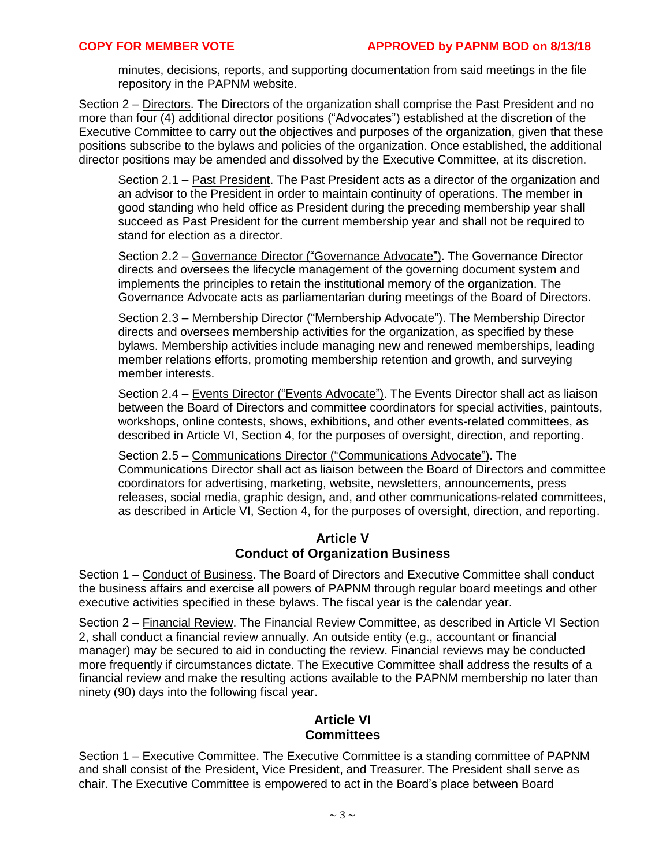minutes, decisions, reports, and supporting documentation from said meetings in the file repository in the PAPNM website.

Section 2 – Directors. The Directors of the organization shall comprise the Past President and no more than four (4) additional director positions ("Advocates") established at the discretion of the Executive Committee to carry out the objectives and purposes of the organization, given that these positions subscribe to the bylaws and policies of the organization. Once established, the additional director positions may be amended and dissolved by the Executive Committee, at its discretion.

Section 2.1 – Past President. The Past President acts as a director of the organization and an advisor to the President in order to maintain continuity of operations. The member in good standing who held office as President during the preceding membership year shall succeed as Past President for the current membership year and shall not be required to stand for election as a director.

Section 2.2 – Governance Director ("Governance Advocate"). The Governance Director directs and oversees the lifecycle management of the governing document system and implements the principles to retain the institutional memory of the organization. The Governance Advocate acts as parliamentarian during meetings of the Board of Directors.

Section 2.3 – Membership Director ("Membership Advocate"). The Membership Director directs and oversees membership activities for the organization, as specified by these bylaws. Membership activities include managing new and renewed memberships, leading member relations efforts, promoting membership retention and growth, and surveying member interests.

Section 2.4 – Events Director ("Events Advocate"). The Events Director shall act as liaison between the Board of Directors and committee coordinators for special activities, paintouts, workshops, online contests, shows, exhibitions, and other events-related committees, as described in Article VI, Section 4, for the purposes of oversight, direction, and reporting.

Section 2.5 – Communications Director ("Communications Advocate"). The Communications Director shall act as liaison between the Board of Directors and committee coordinators for advertising, marketing, website, newsletters, announcements, press releases, social media, graphic design, and, and other communications-related committees, as described in Article VI, Section 4, for the purposes of oversight, direction, and reporting.

#### **Article V Conduct of Organization Business**

Section 1 – Conduct of Business. The Board of Directors and Executive Committee shall conduct the business affairs and exercise all powers of PAPNM through regular board meetings and other executive activities specified in these bylaws. The fiscal year is the calendar year.

Section 2 – Financial Review. The Financial Review Committee, as described in Article VI Section 2, shall conduct a financial review annually. An outside entity (e.g., accountant or financial manager) may be secured to aid in conducting the review. Financial reviews may be conducted more frequently if circumstances dictate. The Executive Committee shall address the results of a financial review and make the resulting actions available to the PAPNM membership no later than ninety (90) days into the following fiscal year.

### **Article VI Committees**

Section 1 – Executive Committee. The Executive Committee is a standing committee of PAPNM and shall consist of the President, Vice President, and Treasurer. The President shall serve as chair. The Executive Committee is empowered to act in the Board's place between Board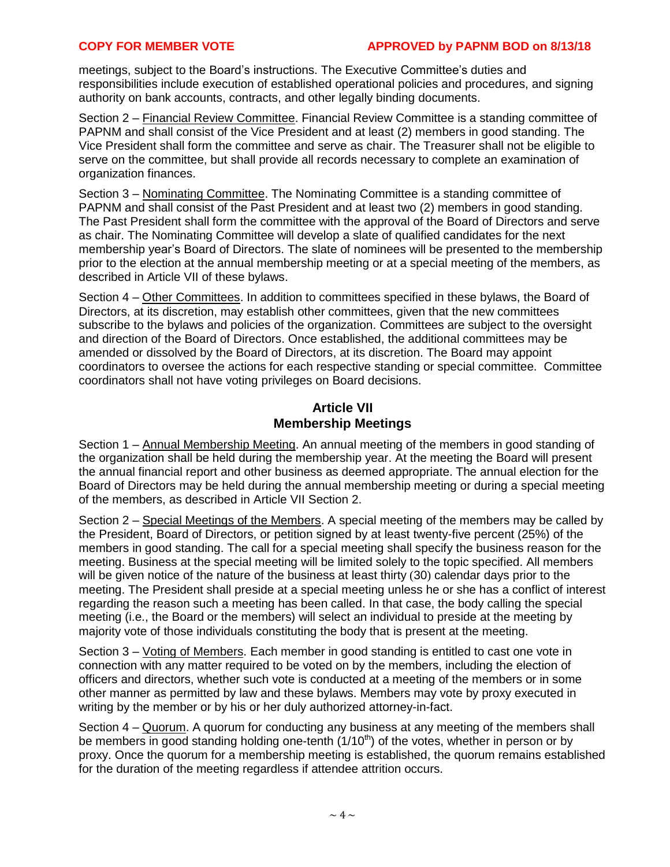meetings, subject to the Board's instructions. The Executive Committee's duties and responsibilities include execution of established operational policies and procedures, and signing authority on bank accounts, contracts, and other legally binding documents.

Section 2 – Financial Review Committee. Financial Review Committee is a standing committee of PAPNM and shall consist of the Vice President and at least (2) members in good standing. The Vice President shall form the committee and serve as chair. The Treasurer shall not be eligible to serve on the committee, but shall provide all records necessary to complete an examination of organization finances.

Section 3 – Nominating Committee. The Nominating Committee is a standing committee of PAPNM and shall consist of the Past President and at least two (2) members in good standing. The Past President shall form the committee with the approval of the Board of Directors and serve as chair. The Nominating Committee will develop a slate of qualified candidates for the next membership year's Board of Directors. The slate of nominees will be presented to the membership prior to the election at the annual membership meeting or at a special meeting of the members, as described in Article VII of these bylaws.

Section 4 – Other Committees. In addition to committees specified in these bylaws, the Board of Directors, at its discretion, may establish other committees, given that the new committees subscribe to the bylaws and policies of the organization. Committees are subject to the oversight and direction of the Board of Directors. Once established, the additional committees may be amended or dissolved by the Board of Directors, at its discretion. The Board may appoint coordinators to oversee the actions for each respective standing or special committee. Committee coordinators shall not have voting privileges on Board decisions.

#### **Article VII Membership Meetings**

Section 1 – Annual Membership Meeting. An annual meeting of the members in good standing of the organization shall be held during the membership year. At the meeting the Board will present the annual financial report and other business as deemed appropriate. The annual election for the Board of Directors may be held during the annual membership meeting or during a special meeting of the members, as described in Article VII Section 2.

Section 2 – Special Meetings of the Members. A special meeting of the members may be called by the President, Board of Directors, or petition signed by at least twenty-five percent (25%) of the members in good standing. The call for a special meeting shall specify the business reason for the meeting. Business at the special meeting will be limited solely to the topic specified. All members will be given notice of the nature of the business at least thirty (30) calendar days prior to the meeting. The President shall preside at a special meeting unless he or she has a conflict of interest regarding the reason such a meeting has been called. In that case, the body calling the special meeting (i.e., the Board or the members) will select an individual to preside at the meeting by majority vote of those individuals constituting the body that is present at the meeting.

Section 3 – Voting of Members. Each member in good standing is entitled to cast one vote in connection with any matter required to be voted on by the members, including the election of officers and directors, whether such vote is conducted at a meeting of the members or in some other manner as permitted by law and these bylaws. Members may vote by proxy executed in writing by the member or by his or her duly authorized attorney-in-fact.

Section 4 – Quorum. A quorum for conducting any business at any meeting of the members shall be members in good standing holding one-tenth  $(1/10<sup>th</sup>)$  of the votes, whether in person or by proxy. Once the quorum for a membership meeting is established, the quorum remains established for the duration of the meeting regardless if attendee attrition occurs.